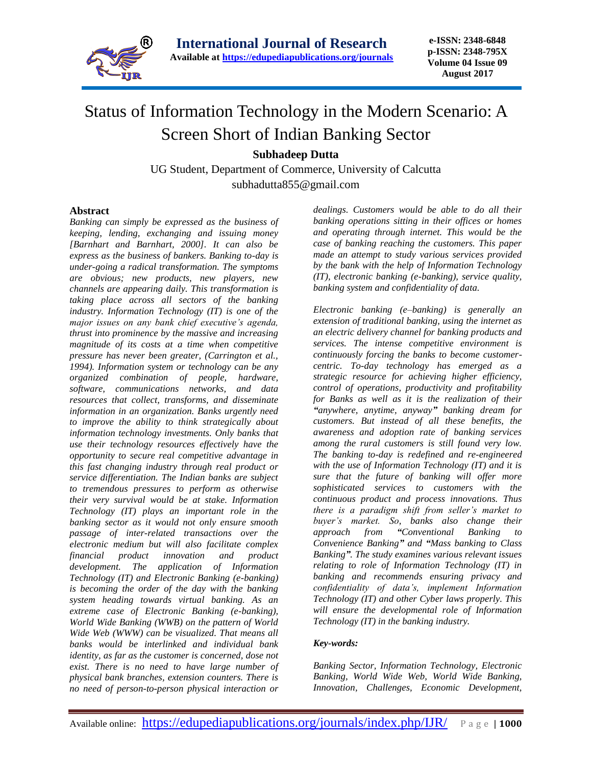

# Status of Information Technology in the Modern Scenario: A Screen Short of Indian Banking Sector

**Subhadeep Dutta**

UG Student, Department of Commerce, University of Calcutta [subhadutta855@gmail.com](mailto:subhadutta855@gmail.com)

#### **Abstract**

*Banking can simply be expressed as the business of keeping, lending, exchanging and issuing money [Barnhart and Barnhart, 2000]. It can also be express as the business of bankers. Banking to-day is under-going a radical transformation. The symptoms are obvious; new products, new players, new channels are appearing daily. This transformation is taking place across all sectors of the banking industry. Information Technology (IT) is one of the major issues on any bank chief executive's agenda, thrust into prominence by the massive and increasing magnitude of its costs at a time when competitive pressure has never been greater, (Carrington et al., 1994). Information system or technology can be any organized combination of people, hardware, software, communications networks, and data resources that collect, transforms, and disseminate information in an organization. Banks urgently need to improve the ability to think strategically about information technology investments. Only banks that use their technology resources effectively have the opportunity to secure real competitive advantage in this fast changing industry through real product or service differentiation. The Indian banks are subject to tremendous pressures to perform as otherwise their very survival would be at stake. Information Technology (IT) plays an important role in the banking sector as it would not only ensure smooth passage of inter-related transactions over the electronic medium but will also facilitate complex financial product innovation and product development. The application of Information Technology (IT) and Electronic Banking (e-banking) is becoming the order of the day with the banking system heading towards virtual banking. As an extreme case of Electronic Banking (e-banking), World Wide Banking (WWB) on the pattern of World Wide Web (WWW) can be visualized. That means all banks would be interlinked and individual bank identity, as far as the customer is concerned, dose not exist. There is no need to have large number of physical bank branches, extension counters. There is no need of person-to-person physical interaction or* 

*dealings. Customers would be able to do all their banking operations sitting in their offices or homes and operating through internet. This would be the case of banking reaching the customers. This paper made an attempt to study various services provided by the bank with the help of Information Technology (IT), electronic banking (e-banking), service quality, banking system and confidentiality of data.*

*Electronic banking (e–banking) is generally an extension of traditional banking, using the internet as an electric delivery channel for banking products and services. The intense competitive environment is continuously forcing the banks to become customercentric. To-day technology has emerged as a strategic resource for achieving higher efficiency, control of operations, productivity and profitability for Banks as well as it is the realization of their "anywhere, anytime, anyway" banking dream for customers. But instead of all these benefits, the awareness and adoption rate of banking services among the rural customers is still found very low. The banking to-day is redefined and re-engineered with the use of Information Technology (IT) and it is sure that the future of banking will offer more sophisticated services to customers with the continuous product and process innovations. Thus there is a paradigm shift from seller's market to buyer's market. So, banks also change their approach from "Conventional Banking to Convenience Banking" and "Mass banking to Class Banking". The study examines various relevant issues relating to role of Information Technology (IT) in banking and recommends ensuring privacy and confidentiality of data's, implement Information Technology (IT) and other Cyber laws properly. This will ensure the developmental role of Information Technology (IT) in the banking industry.*

#### *Key-words:*

*Banking Sector, Information Technology, Electronic Banking, World Wide Web, World Wide Banking, Innovation, Challenges, Economic Development,*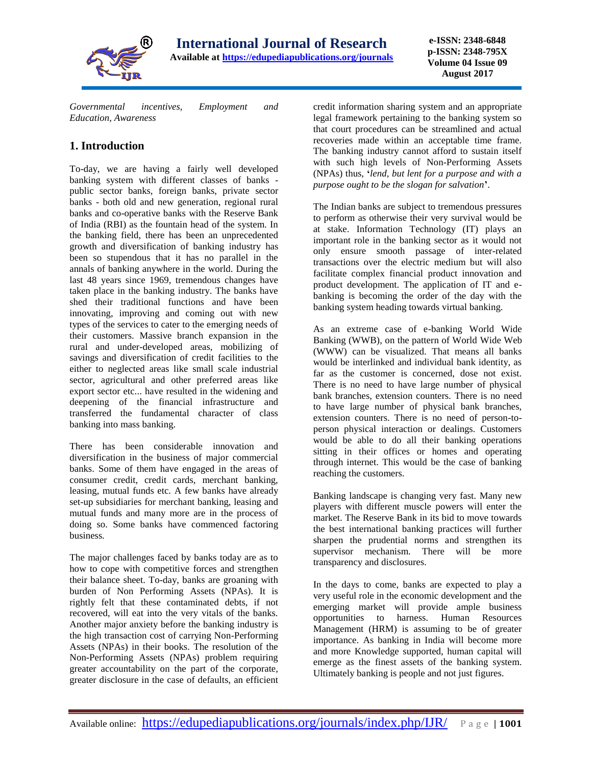

*Governmental incentives, Employment and Education, Awareness*

# **1. Introduction**

To-day, we are having a fairly well developed banking system with different classes of banks public sector banks, foreign banks, private sector banks - both old and new generation, regional rural banks and co-operative banks with the Reserve Bank of India (RBI) as the fountain head of the system. In the banking field, there has been an unprecedented growth and diversification of banking industry has been so stupendous that it has no parallel in the annals of banking anywhere in the world. During the last 48 years since 1969, tremendous changes have taken place in the banking industry. The banks have shed their traditional functions and have been innovating, improving and coming out with new types of the services to cater to the emerging needs of their customers. Massive branch expansion in the rural and under-developed areas, mobilizing of savings and diversification of credit facilities to the either to neglected areas like small scale industrial sector, agricultural and other preferred areas like export sector etc... have resulted in the widening and deepening of the financial infrastructure and transferred the fundamental character of class banking into mass banking.

There has been considerable innovation and diversification in the business of major commercial banks. Some of them have engaged in the areas of consumer credit, credit cards, merchant banking, leasing, mutual funds etc. A few banks have already set-up subsidiaries for merchant banking, leasing and mutual funds and many more are in the process of doing so. Some banks have commenced factoring business.

The major challenges faced by banks today are as to how to cope with competitive forces and strengthen their balance sheet. To-day, banks are groaning with burden of Non Performing Assets (NPAs). It is rightly felt that these contaminated debts, if not recovered, will eat into the very vitals of the banks. Another major anxiety before the banking industry is the high transaction cost of carrying Non-Performing Assets (NPAs) in their books. The resolution of the Non-Performing Assets (NPAs) problem requiring greater accountability on the part of the corporate, greater disclosure in the case of defaults, an efficient

credit information sharing system and an appropriate legal framework pertaining to the banking system so that court procedures can be streamlined and actual recoveries made within an acceptable time frame. The banking industry cannot afford to sustain itself with such high levels of Non-Performing Assets (NPAs) thus, **'***lend, but lent for a purpose and with a purpose ought to be the slogan for salvation***'**.

The Indian banks are subject to tremendous pressures to perform as otherwise their very survival would be at stake. Information Technology (IT) plays an important role in the banking sector as it would not only ensure smooth passage of inter-related transactions over the electric medium but will also facilitate complex financial product innovation and product development. The application of IT and ebanking is becoming the order of the day with the banking system heading towards virtual banking.

As an extreme case of e-banking World Wide Banking (WWB), on the pattern of World Wide Web (WWW) can be visualized. That means all banks would be interlinked and individual bank identity, as far as the customer is concerned, dose not exist. There is no need to have large number of physical bank branches, extension counters. There is no need to have large number of physical bank branches, extension counters. There is no need of person-toperson physical interaction or dealings. Customers would be able to do all their banking operations sitting in their offices or homes and operating through internet. This would be the case of banking reaching the customers.

Banking landscape is changing very fast. Many new players with different muscle powers will enter the market. The Reserve Bank in its bid to move towards the best international banking practices will further sharpen the prudential norms and strengthen its supervisor mechanism. There will be more transparency and disclosures.

In the days to come, banks are expected to play a very useful role in the economic development and the emerging market will provide ample business opportunities to harness. Human Resources Management (HRM) is assuming to be of greater importance. As banking in India will become more and more Knowledge supported, human capital will emerge as the finest assets of the banking system. Ultimately banking is people and not just figures.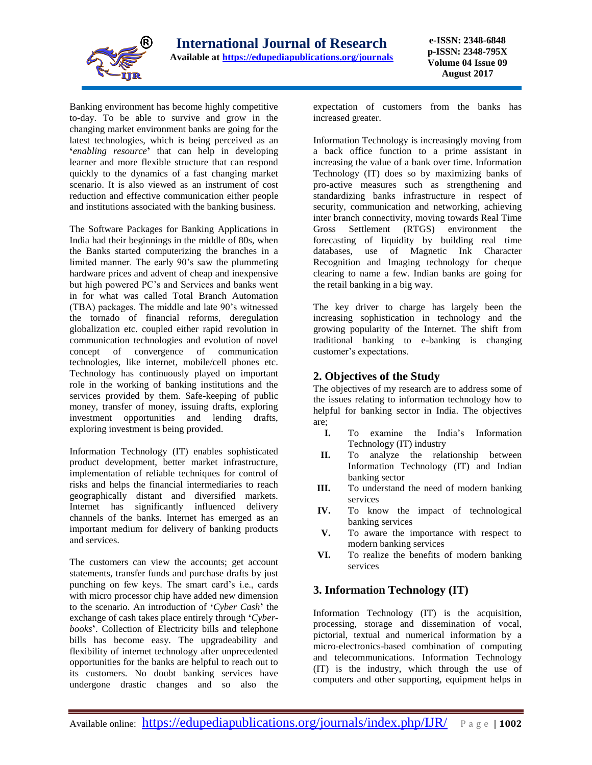

Banking environment has become highly competitive to-day. To be able to survive and grow in the changing market environment banks are going for the latest technologies, which is being perceived as an **'***enabling resource***'** that can help in developing learner and more flexible structure that can respond quickly to the dynamics of a fast changing market scenario. It is also viewed as an instrument of cost reduction and effective communication either people and institutions associated with the banking business.

The Software Packages for Banking Applications in India had their beginnings in the middle of 80s, when the Banks started computerizing the branches in a limited manner. The early 90's saw the plummeting hardware prices and advent of cheap and inexpensive but high powered PC's and Services and banks went in for what was called Total Branch Automation (TBA) packages. The middle and late 90's witnessed the tornado of financial reforms, deregulation globalization etc. coupled either rapid revolution in communication technologies and evolution of novel concept of convergence of communication technologies, like internet, mobile/cell phones etc. Technology has continuously played on important role in the working of banking institutions and the services provided by them. Safe-keeping of public money, transfer of money, issuing drafts, exploring investment opportunities and lending drafts, exploring investment is being provided.

Information Technology (IT) enables sophisticated product development, better market infrastructure, implementation of reliable techniques for control of risks and helps the financial intermediaries to reach geographically distant and diversified markets. Internet has significantly influenced delivery channels of the banks. Internet has emerged as an important medium for delivery of banking products and services.

The customers can view the accounts; get account statements, transfer funds and purchase drafts by just punching on few keys. The smart card's i.e., cards with micro processor chip have added new dimension to the scenario. An introduction of **'***Cyber Cash***'** the exchange of cash takes place entirely through **'***Cyberbooks***'**. Collection of Electricity bills and telephone bills has become easy. The upgradeability and flexibility of internet technology after unprecedented opportunities for the banks are helpful to reach out to its customers. No doubt banking services have undergone drastic changes and so also the

expectation of customers from the banks has increased greater.

Information Technology is increasingly moving from a back office function to a prime assistant in increasing the value of a bank over time. Information Technology (IT) does so by maximizing banks of pro-active measures such as strengthening and standardizing banks infrastructure in respect of security, communication and networking, achieving inter branch connectivity, moving towards Real Time Gross Settlement (RTGS) environment the forecasting of liquidity by building real time databases, use of Magnetic Ink Character Recognition and Imaging technology for cheque clearing to name a few. Indian banks are going for the retail banking in a big way.

The key driver to charge has largely been the increasing sophistication in technology and the growing popularity of the Internet. The shift from traditional banking to e-banking is changing customer's expectations.

### **2. Objectives of the Study**

The objectives of my research are to address some of the issues relating to information technology how to helpful for banking sector in India. The objectives are;

- **I.** To examine the India's Information Technology (IT) industry
- **II.** To analyze the relationship between Information Technology (IT) and Indian banking sector
- **III.** To understand the need of modern banking services
- **IV.** To know the impact of technological banking services
- **V.** To aware the importance with respect to modern banking services
- **VI.** To realize the benefits of modern banking services

### **3. Information Technology (IT)**

Information Technology (IT) is the acquisition, processing, storage and dissemination of vocal, pictorial, textual and numerical information by a micro-electronics-based combination of computing and telecommunications. Information Technology (IT) is the industry, which through the use of computers and other supporting, equipment helps in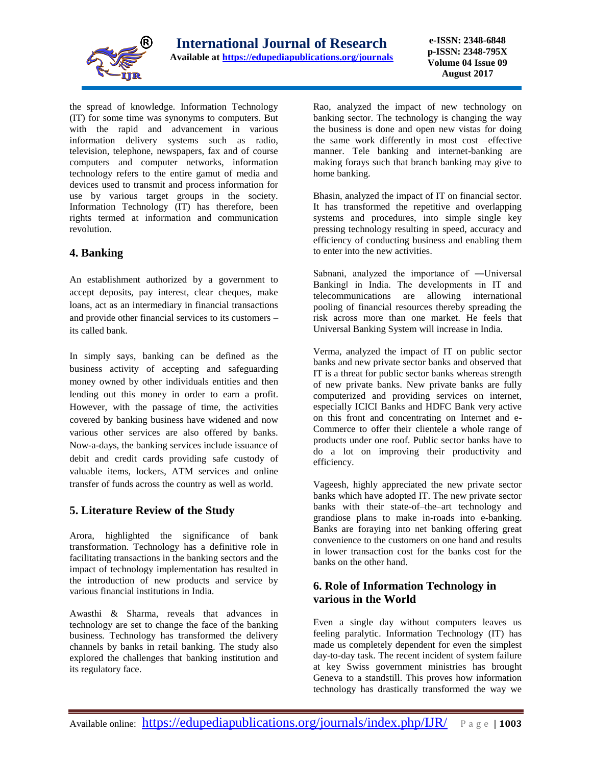

the spread of knowledge. Information Technology (IT) for some time was synonyms to computers. But with the rapid and advancement in various information delivery systems such as radio, television, telephone, newspapers, fax and of course computers and computer networks, information technology refers to the entire gamut of media and devices used to transmit and process information for use by various target groups in the society. Information Technology (IT) has therefore, been rights termed at information and communication revolution.

### **4. Banking**

An establishment authorized by a government to accept deposits, pay interest, clear cheques, make loans, act as an intermediary in financial transactions and provide other financial services to its customers – its called bank.

In simply says, banking can be defined as the business activity of accepting and safeguarding money owned by other individuals entities and then lending out this money in order to earn a profit. However, with the passage of time, the activities covered by banking business have widened and now various other services are also offered by banks. Now-a-days, the banking services include issuance of debit and credit cards providing safe custody of valuable items, lockers, ATM services and online transfer of funds across the country as well as world.

### **5. Literature Review of the Study**

Arora, highlighted the significance of bank transformation. Technology has a definitive role in facilitating transactions in the banking sectors and the impact of technology implementation has resulted in the introduction of new products and service by various financial institutions in India.

Awasthi & Sharma, reveals that advances in technology are set to change the face of the banking business. Technology has transformed the delivery channels by banks in retail banking. The study also explored the challenges that banking institution and its regulatory face.

Rao, analyzed the impact of new technology on banking sector. The technology is changing the way the business is done and open new vistas for doing the same work differently in most cost –effective manner. Tele banking and internet-banking are making forays such that branch banking may give to home banking.

Bhasin, analyzed the impact of IT on financial sector. It has transformed the repetitive and overlapping systems and procedures, into simple single key pressing technology resulting in speed, accuracy and efficiency of conducting business and enabling them to enter into the new activities.

Sabnani, analyzed the importance of ―Universal Banking‖ in India. The developments in IT and telecommunications are allowing international pooling of financial resources thereby spreading the risk across more than one market. He feels that Universal Banking System will increase in India.

Verma, analyzed the impact of IT on public sector banks and new private sector banks and observed that IT is a threat for public sector banks whereas strength of new private banks. New private banks are fully computerized and providing services on internet, especially ICICI Banks and HDFC Bank very active on this front and concentrating on Internet and e-Commerce to offer their clientele a whole range of products under one roof. Public sector banks have to do a lot on improving their productivity and efficiency.

Vageesh, highly appreciated the new private sector banks which have adopted IT. The new private sector banks with their state-of–the–art technology and grandiose plans to make in-roads into e-banking. Banks are foraying into net banking offering great convenience to the customers on one hand and results in lower transaction cost for the banks cost for the banks on the other hand.

### **6. Role of Information Technology in various in the World**

Even a single day without computers leaves us feeling paralytic. Information Technology (IT) has made us completely dependent for even the simplest day-to-day task. The recent incident of system failure at key Swiss government ministries has brought Geneva to a standstill. This proves how information technology has drastically transformed the way we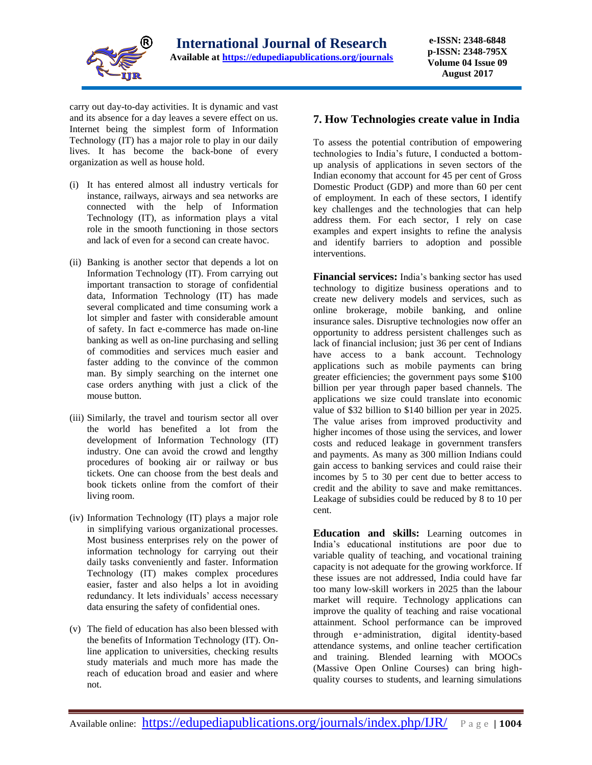

carry out day-to-day activities. It is dynamic and vast and its absence for a day leaves a severe effect on us. Internet being the simplest form of Information Technology (IT) has a major role to play in our daily lives. It has become the back-bone of every organization as well as house hold.

- (i) It has entered almost all industry verticals for instance, railways, airways and sea networks are connected with the help of Information Technology (IT), as information plays a vital role in the smooth functioning in those sectors and lack of even for a second can create havoc.
- (ii) Banking is another sector that depends a lot on Information Technology (IT). From carrying out important transaction to storage of confidential data, Information Technology (IT) has made several complicated and time consuming work a lot simpler and faster with considerable amount of safety. In fact e-commerce has made on-line banking as well as on-line purchasing and selling of commodities and services much easier and faster adding to the convince of the common man. By simply searching on the internet one case orders anything with just a click of the mouse button.
- (iii) Similarly, the travel and tourism sector all over the world has benefited a lot from the development of Information Technology (IT) industry. One can avoid the crowd and lengthy procedures of booking air or railway or bus tickets. One can choose from the best deals and book tickets online from the comfort of their living room.
- (iv) Information Technology (IT) plays a major role in simplifying various organizational processes. Most business enterprises rely on the power of information technology for carrying out their daily tasks conveniently and faster. Information Technology (IT) makes complex procedures easier, faster and also helps a lot in avoiding redundancy. It lets individuals' access necessary data ensuring the safety of confidential ones.
- (v) The field of education has also been blessed with the benefits of Information Technology (IT). Online application to universities, checking results study materials and much more has made the reach of education broad and easier and where not

### **7. How Technologies create value in India**

To assess the potential contribution of empowering technologies to India's future, I conducted a bottomup analysis of applications in seven sectors of the Indian economy that account for 45 per cent of Gross Domestic Product (GDP) and more than 60 per cent of employment. In each of these sectors, I identify key challenges and the technologies that can help address them. For each sector, I rely on case examples and expert insights to refine the analysis and identify barriers to adoption and possible interventions.

**Financial services:** India's banking sector has used technology to digitize business operations and to create new delivery models and services, such as online brokerage, mobile banking, and online insurance sales. Disruptive technologies now offer an opportunity to address persistent challenges such as lack of financial inclusion; just 36 per cent of Indians have access to a bank account. Technology applications such as mobile payments can bring greater efficiencies; the government pays some \$100 billion per year through paper based channels. The applications we size could translate into economic value of \$32 billion to \$140 billion per year in 2025. The value arises from improved productivity and higher incomes of those using the services, and lower costs and reduced leakage in government transfers and payments. As many as 300 million Indians could gain access to banking services and could raise their incomes by 5 to 30 per cent due to better access to credit and the ability to save and make remittances. Leakage of subsidies could be reduced by 8 to 10 per cent.

**Education and skills:** Learning outcomes in India's educational institutions are poor due to variable quality of teaching, and vocational training capacity is not adequate for the growing workforce. If these issues are not addressed, India could have far too many low-skill workers in 2025 than the labour market will require. Technology applications can improve the quality of teaching and raise vocational attainment. School performance can be improved through e‑administration, digital identity-based attendance systems, and online teacher certification and training. Blended learning with MOOCs (Massive Open Online Courses) can bring highquality courses to students, and learning simulations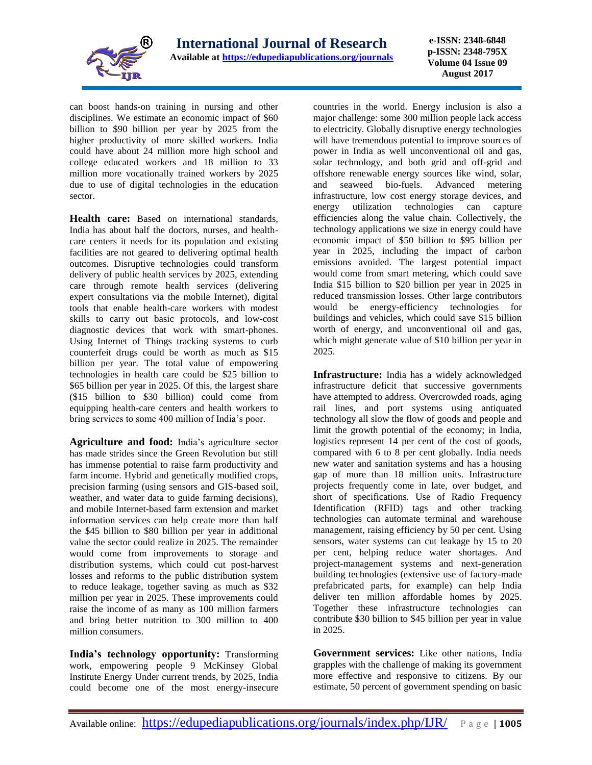

**e-ISSN: 2348-6848 p-ISSN: 2348-795X Volume 04 Issue 09 August 2017**

can boost hands-on training in nursing and other disciplines. We estimate an economic impact of \$60 billion to \$90 billion per year by 2025 from the higher productivity of more skilled workers. India could have about 24 million more high school and college educated workers and 18 million to 33 million more vocationally trained workers by 2025 due to use of digital technologies in the education sector.

**Health care:** Based on international standards, India has about half the doctors, nurses, and healthcare centers it needs for its population and existing facilities are not geared to delivering optimal health outcomes. Disruptive technologies could transform delivery of public health services by 2025, extending care through remote health services (delivering expert consultations via the mobile Internet), digital tools that enable health-care workers with modest skills to carry out basic protocols, and low-cost diagnostic devices that work with smart-phones. Using Internet of Things tracking systems to curb counterfeit drugs could be worth as much as \$15 billion per year. The total value of empowering technologies in health care could be \$25 billion to \$65 billion per year in 2025. Of this, the largest share (\$15 billion to \$30 billion) could come from equipping health-care centers and health workers to bring services to some 400 million of India's poor.

**Agriculture and food:** India's agriculture sector has made strides since the Green Revolution but still has immense potential to raise farm productivity and farm income. Hybrid and genetically modified crops, precision farming (using sensors and GIS-based soil, weather, and water data to guide farming decisions), and mobile Internet-based farm extension and market information services can help create more than half the \$45 billion to \$80 billion per year in additional value the sector could realize in 2025. The remainder would come from improvements to storage and distribution systems, which could cut post-harvest losses and reforms to the public distribution system to reduce leakage, together saving as much as \$32 million per year in 2025. These improvements could raise the income of as many as 100 million farmers and bring better nutrition to 300 million to 400 million consumers.

**India's technology opportunity:** Transforming work, empowering people 9 McKinsey Global Institute Energy Under current trends, by 2025, India could become one of the most energy-insecure

countries in the world. Energy inclusion is also a major challenge: some 300 million people lack access to electricity. Globally disruptive energy technologies will have tremendous potential to improve sources of power in India as well unconventional oil and gas, solar technology, and both grid and off-grid and offshore renewable energy sources like wind, solar, and seaweed bio-fuels. Advanced metering infrastructure, low cost energy storage devices, and energy utilization technologies can capture efficiencies along the value chain. Collectively, the technology applications we size in energy could have economic impact of \$50 billion to \$95 billion per year in 2025, including the impact of carbon emissions avoided. The largest potential impact would come from smart metering, which could save India \$15 billion to \$20 billion per year in 2025 in reduced transmission losses. Other large contributors would be energy-efficiency technologies for buildings and vehicles, which could save \$15 billion worth of energy, and unconventional oil and gas, which might generate value of \$10 billion per year in 2025.

**Infrastructure:** India has a widely acknowledged infrastructure deficit that successive governments have attempted to address. Overcrowded roads, aging rail lines, and port systems using antiquated technology all slow the flow of goods and people and limit the growth potential of the economy; in India, logistics represent 14 per cent of the cost of goods, compared with 6 to 8 per cent globally. India needs new water and sanitation systems and has a housing gap of more than 18 million units. Infrastructure projects frequently come in late, over budget, and short of specifications. Use of Radio Frequency Identification (RFID) tags and other tracking technologies can automate terminal and warehouse management, raising efficiency by 50 per cent. Using sensors, water systems can cut leakage by 15 to 20 per cent, helping reduce water shortages. And project-management systems and next-generation building technologies (extensive use of factory-made prefabricated parts, for example) can help India deliver ten million affordable homes by 2025. Together these infrastructure technologies can contribute \$30 billion to \$45 billion per year in value in 2025.

**Government services:** Like other nations, India grapples with the challenge of making its government more effective and responsive to citizens. By our estimate, 50 percent of government spending on basic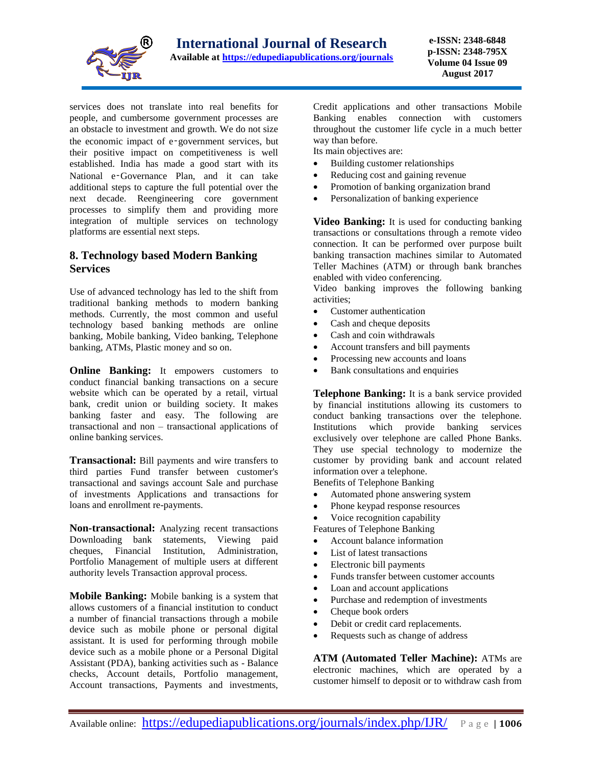

services does not translate into real benefits for people, and cumbersome government processes are an obstacle to investment and growth. We do not size the economic impact of e‑government services, but their positive impact on competitiveness is well established. India has made a good start with its National e-Governance Plan, and it can take additional steps to capture the full potential over the next decade. Reengineering core government processes to simplify them and providing more integration of multiple services on technology platforms are essential next steps.

### **8. Technology based Modern Banking Services**

Use of advanced technology has led to the shift from traditional banking methods to modern banking methods. Currently, the most common and useful technology based banking methods are online banking, Mobile banking, Video banking, Telephone banking, ATMs, Plastic money and so on.

**Online Banking:** It empowers customers to conduct financial banking transactions on a secure website which can be operated by a retail, virtual bank, credit union or building society. It makes banking faster and easy. The following are transactional and non – transactional applications of online banking services.

**Transactional:** Bill payments and wire transfers to third parties Fund transfer between customer's transactional and savings account Sale and purchase of investments Applications and transactions for loans and enrollment re-payments.

**Non-transactional:** Analyzing recent transactions Downloading bank statements, Viewing paid cheques, Financial Institution, Administration, Portfolio Management of multiple users at different authority levels Transaction approval process.

**Mobile Banking:** Mobile banking is a system that allows customers of a financial institution to conduct a number of financial transactions through a mobile device such as mobile phone or personal digital assistant. It is used for performing through mobile device such as a mobile phone or a Personal Digital Assistant (PDA), banking activities such as - Balance checks, Account details, Portfolio management, Account transactions, Payments and investments,

Credit applications and other transactions Mobile Banking enables connection with customers throughout the customer life cycle in a much better way than before.

Its main objectives are:

- Building customer relationships
- Reducing cost and gaining revenue
- Promotion of banking organization brand
- Personalization of banking experience

**Video Banking:** It is used for conducting banking transactions or consultations through a remote video connection. It can be performed over purpose built banking transaction machines similar to Automated Teller Machines (ATM) or through bank branches enabled with video conferencing.

Video banking improves the following banking activities;

- Customer authentication
- Cash and cheque deposits
- Cash and coin withdrawals
- Account transfers and bill payments
- Processing new accounts and loans
- Bank consultations and enquiries

**Telephone Banking:** It is a bank service provided by financial institutions allowing its customers to conduct banking transactions over the telephone. Institutions which provide banking services exclusively over telephone are called Phone Banks. They use special technology to modernize the customer by providing bank and account related information over a telephone.

Benefits of Telephone Banking

- Automated phone answering system
- Phone keypad response resources
- Voice recognition capability

Features of Telephone Banking

- Account balance information
- List of latest transactions
- Electronic bill payments
- Funds transfer between customer accounts
- Loan and account applications
- Purchase and redemption of investments
- Cheque book orders
- Debit or credit card replacements.
- Requests such as change of address

**ATM (Automated Teller Machine):** ATMs are electronic machines, which are operated by a customer himself to deposit or to withdraw cash from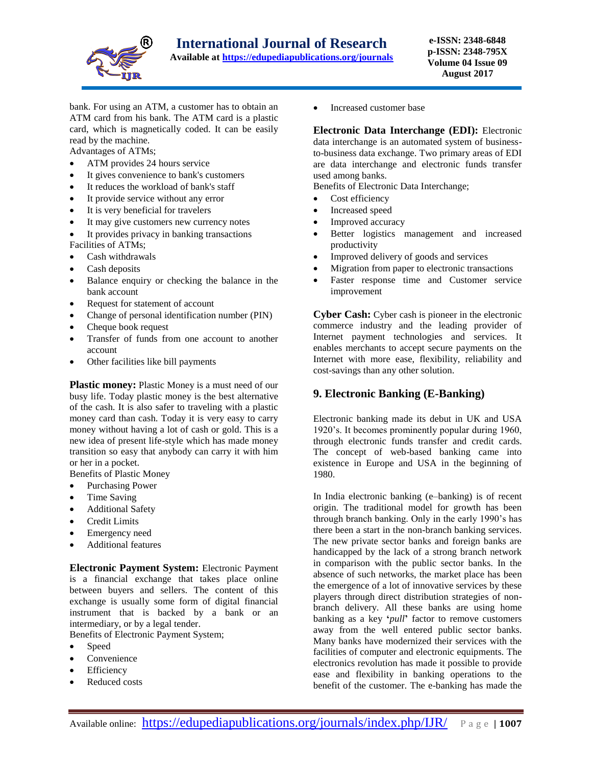

bank. For using an ATM, a customer has to obtain an ATM card from his bank. The ATM card is a plastic card, which is magnetically coded. It can be easily read by the machine.

Advantages of ATMs;

- ATM provides 24 hours service
- It gives convenience to bank's customers
- It reduces the workload of bank's staff
- It provide service without any error
- It is very beneficial for travelers
- It may give customers new currency notes
- It provides privacy in banking transactions Facilities of ATMs;
- Cash withdrawals
- Cash deposits
- Balance enquiry or checking the balance in the bank account
- Request for statement of account
- Change of personal identification number (PIN)
- Cheque book request
- Transfer of funds from one account to another account
- Other facilities like bill payments

**Plastic money:** Plastic Money is a must need of our busy life. Today plastic money is the best alternative of the cash. It is also safer to traveling with a plastic money card than cash. Today it is very easy to carry money without having a lot of cash or gold. This is a new idea of present life-style which has made money transition so easy that anybody can carry it with him or her in a pocket.

Benefits of Plastic Money

- Purchasing Power
- Time Saving
- Additional Safety
- Credit Limits
- Emergency need
- Additional features

**Electronic Payment System:** Electronic Payment is a financial exchange that takes place online between buyers and sellers. The content of this exchange is usually some form of digital financial instrument that is backed by a bank or an intermediary, or by a legal tender. Benefits of Electronic Payment System;

- Speed
- Convenience
- Efficiency
- Reduced costs

Increased customer base

**Electronic Data Interchange (EDI):** Electronic data interchange is an automated system of businessto-business data exchange. Two primary areas of EDI are data interchange and electronic funds transfer used among banks.

Benefits of Electronic Data Interchange;

- Cost efficiency
- Increased speed
- Improved accuracy
- Better logistics management and increased productivity
- Improved delivery of goods and services
- Migration from paper to electronic transactions
- Faster response time and Customer service improvement

**Cyber Cash:** Cyber cash is pioneer in the electronic commerce industry and the leading provider of Internet payment technologies and services. It enables merchants to accept secure payments on the Internet with more ease, flexibility, reliability and cost-savings than any other solution.

### **9. Electronic Banking (E-Banking)**

Electronic banking made its debut in UK and USA 1920's. It becomes prominently popular during 1960, through electronic funds transfer and credit cards. The concept of web-based banking came into existence in Europe and USA in the beginning of 1980.

In India electronic banking (e–banking) is of recent origin. The traditional model for growth has been through branch banking. Only in the early 1990's has there been a start in the non-branch banking services. The new private sector banks and foreign banks are handicapped by the lack of a strong branch network in comparison with the public sector banks. In the absence of such networks, the market place has been the emergence of a lot of innovative services by these players through direct distribution strategies of nonbranch delivery. All these banks are using home banking as a key **'***pull***'** factor to remove customers away from the well entered public sector banks. Many banks have modernized their services with the facilities of computer and electronic equipments. The electronics revolution has made it possible to provide ease and flexibility in banking operations to the benefit of the customer. The e-banking has made the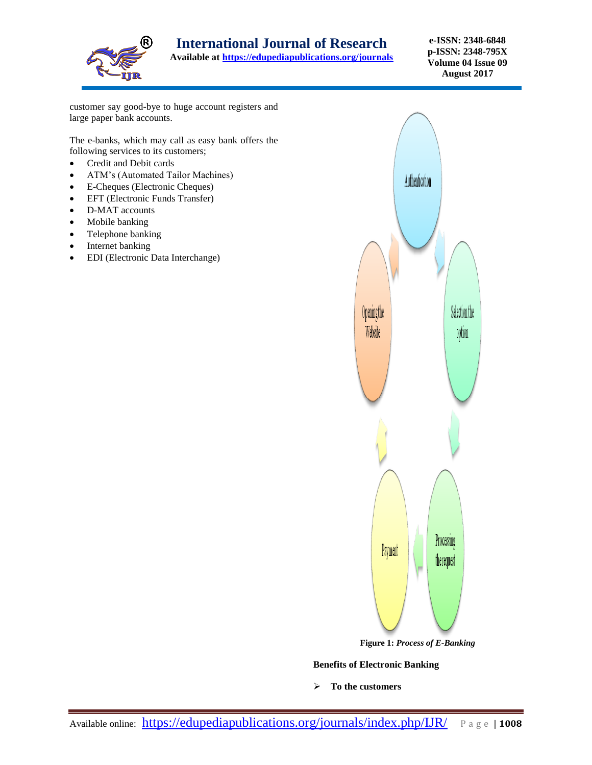

**Available at<https://edupediapublications.org/journals>**

**e-ISSN: 2348-6848 p-ISSN: 2348-795X Volume 04 Issue 09 August 2017**

customer say good-bye to huge account registers and large paper bank accounts.

The e-banks, which may call as easy bank offers the following services to its customers;

- Credit and Debit cards
- ATM's (Automated Tailor Machines)
- E-Cheques (Electronic Cheques)
- EFT (Electronic Funds Transfer)
- D-MAT accounts
- Mobile banking
- Telephone banking
- Internet banking
- EDI (Electronic Data Interchange)



**Benefits of Electronic Banking**

**To the customers**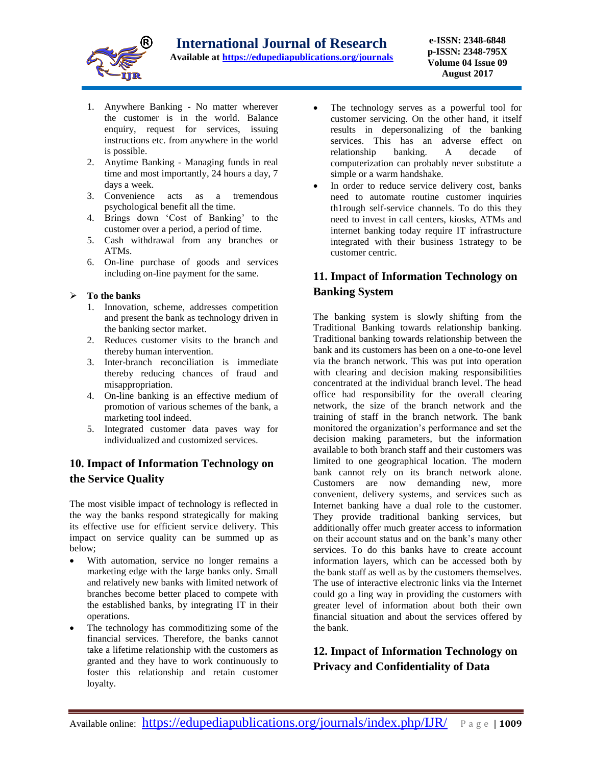

- 1. Anywhere Banking No matter wherever the customer is in the world. Balance enquiry, request for services, issuing instructions etc. from anywhere in the world is possible.
- 2. Anytime Banking Managing funds in real time and most importantly, 24 hours a day, 7 days a week.
- 3. Convenience acts as a tremendous psychological benefit all the time.
- 4. Brings down 'Cost of Banking' to the customer over a period, a period of time.
- 5. Cash withdrawal from any branches or ATMs.
- 6. On-line purchase of goods and services including on-line payment for the same.

#### **To the banks**

- 1. Innovation, scheme, addresses competition and present the bank as technology driven in the banking sector market.
- 2. Reduces customer visits to the branch and thereby human intervention.
- 3. Inter-branch reconciliation is immediate thereby reducing chances of fraud and misappropriation.
- 4. On-line banking is an effective medium of promotion of various schemes of the bank, a marketing tool indeed.
- 5. Integrated customer data paves way for individualized and customized services.

# **10. Impact of Information Technology on the Service Quality**

The most visible impact of technology is reflected in the way the banks respond strategically for making its effective use for efficient service delivery. This impact on service quality can be summed up as below;

- With automation, service no longer remains a marketing edge with the large banks only. Small and relatively new banks with limited network of branches become better placed to compete with the established banks, by integrating IT in their operations.
- The technology has commoditizing some of the financial services. Therefore, the banks cannot take a lifetime relationship with the customers as granted and they have to work continuously to foster this relationship and retain customer loyalty.
- The technology serves as a powerful tool for customer servicing. On the other hand, it itself results in depersonalizing of the banking services. This has an adverse effect on relationship banking. A decade of computerization can probably never substitute a simple or a warm handshake.
- In order to reduce service delivery cost, banks need to automate routine customer inquiries th1rough self-service channels. To do this they need to invest in call centers, kiosks, ATMs and internet banking today require IT infrastructure integrated with their business 1strategy to be customer centric.

# **11. Impact of Information Technology on Banking System**

The banking system is slowly shifting from the Traditional Banking towards relationship banking. Traditional banking towards relationship between the bank and its customers has been on a one-to-one level via the branch network. This was put into operation with clearing and decision making responsibilities concentrated at the individual branch level. The head office had responsibility for the overall clearing network, the size of the branch network and the training of staff in the branch network. The bank monitored the organization's performance and set the decision making parameters, but the information available to both branch staff and their customers was limited to one geographical location. The modern bank cannot rely on its branch network alone. Customers are now demanding new, more convenient, delivery systems, and services such as Internet banking have a dual role to the customer. They provide traditional banking services, but additionally offer much greater access to information on their account status and on the bank's many other services. To do this banks have to create account information layers, which can be accessed both by the bank staff as well as by the customers themselves. The use of interactive electronic links via the Internet could go a ling way in providing the customers with greater level of information about both their own financial situation and about the services offered by the bank.

# **12. Impact of Information Technology on Privacy and Confidentiality of Data**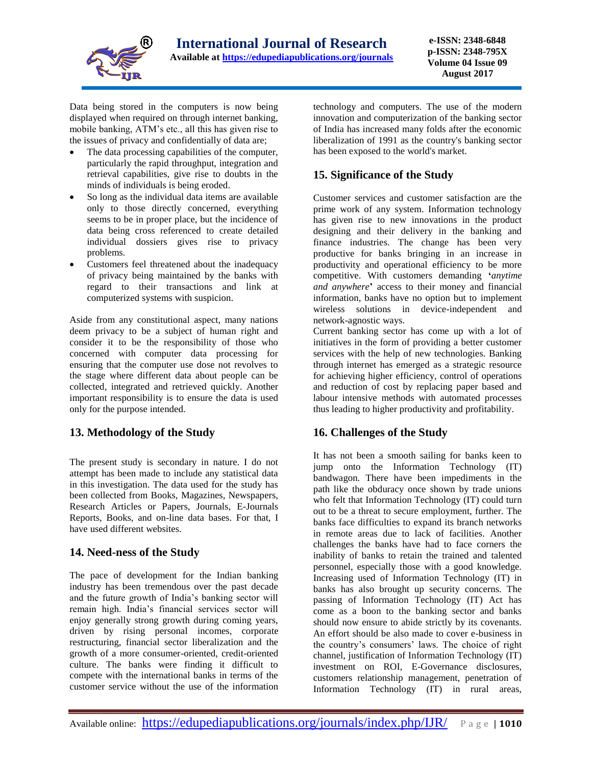

Data being stored in the computers is now being displayed when required on through internet banking, mobile banking, ATM's etc., all this has given rise to the issues of privacy and confidentially of data are;

- The data processing capabilities of the computer, particularly the rapid throughput, integration and retrieval capabilities, give rise to doubts in the minds of individuals is being eroded.
- So long as the individual data items are available only to those directly concerned, everything seems to be in proper place, but the incidence of data being cross referenced to create detailed individual dossiers gives rise to privacy problems.
- Customers feel threatened about the inadequacy of privacy being maintained by the banks with regard to their transactions and link at computerized systems with suspicion.

Aside from any constitutional aspect, many nations deem privacy to be a subject of human right and consider it to be the responsibility of those who concerned with computer data processing for ensuring that the computer use dose not revolves to the stage where different data about people can be collected, integrated and retrieved quickly. Another important responsibility is to ensure the data is used only for the purpose intended.

### **13. Methodology of the Study**

The present study is secondary in nature. I do not attempt has been made to include any statistical data in this investigation. The data used for the study has been collected from Books, Magazines, Newspapers, Research Articles or Papers, Journals, E-Journals Reports, Books, and on-line data bases. For that, I have used different websites.

### **14. Need-ness of the Study**

The pace of development for the Indian banking industry has been tremendous over the past decade and the future growth of India's banking sector will remain high. India's financial services sector will enjoy generally strong growth during coming years, driven by rising personal incomes, corporate restructuring, financial sector liberalization and the growth of a more consumer-oriented, credit-oriented culture. The banks were finding it difficult to compete with the international banks in terms of the customer service without the use of the information

technology and computers. The use of the modern innovation and computerization of the banking sector of India has increased many folds after the economic liberalization of 1991 as the country's banking sector has been exposed to the world's market.

# **15. Significance of the Study**

Customer services and customer satisfaction are the prime work of any system. Information technology has given rise to new innovations in the product designing and their delivery in the banking and finance industries. The change has been very productive for banks bringing in an increase in productivity and operational efficiency to be more competitive. With customers demanding **'***anytime and anywhere***'** access to their money and financial information, banks have no option but to implement wireless solutions in device-independent and network-agnostic ways.

Current banking sector has come up with a lot of initiatives in the form of providing a better customer services with the help of new technologies. Banking through internet has emerged as a strategic resource for achieving higher efficiency, control of operations and reduction of cost by replacing paper based and labour intensive methods with automated processes thus leading to higher productivity and profitability.

# **16. Challenges of the Study**

It has not been a smooth sailing for banks keen to jump onto the Information Technology (IT) bandwagon. There have been impediments in the path like the obduracy once shown by trade unions who felt that Information Technology (IT) could turn out to be a threat to secure employment, further. The banks face difficulties to expand its branch networks in remote areas due to lack of facilities. Another challenges the banks have had to face corners the inability of banks to retain the trained and talented personnel, especially those with a good knowledge. Increasing used of Information Technology (IT) in banks has also brought up security concerns. The passing of Information Technology (IT) Act has come as a boon to the banking sector and banks should now ensure to abide strictly by its covenants. An effort should be also made to cover e-business in the country's consumers' laws. The choice of right channel, justification of Information Technology (IT) investment on ROI, E-Governance disclosures, customers relationship management, penetration of Information Technology (IT) in rural areas,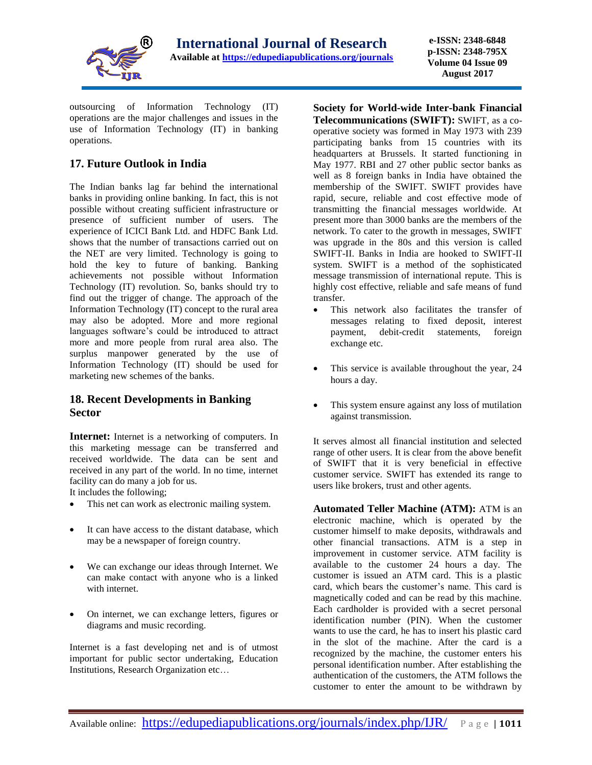

outsourcing of Information Technology (IT) operations are the major challenges and issues in the use of Information Technology (IT) in banking operations.

### **17. Future Outlook in India**

The Indian banks lag far behind the international banks in providing online banking. In fact, this is not possible without creating sufficient infrastructure or presence of sufficient number of users. The experience of ICICI Bank Ltd. and HDFC Bank Ltd. shows that the number of transactions carried out on the NET are very limited. Technology is going to hold the key to future of banking. Banking achievements not possible without Information Technology (IT) revolution. So, banks should try to find out the trigger of change. The approach of the Information Technology (IT) concept to the rural area may also be adopted. More and more regional languages software's could be introduced to attract more and more people from rural area also. The surplus manpower generated by the use of Information Technology (IT) should be used for marketing new schemes of the banks.

### **18. Recent Developments in Banking Sector**

**Internet:** Internet is a networking of computers. In this marketing message can be transferred and received worldwide. The data can be sent and received in any part of the world. In no time, internet facility can do many a job for us.

It includes the following;

- This net can work as electronic mailing system.
- It can have access to the distant database, which may be a newspaper of foreign country.
- We can exchange our ideas through Internet. We can make contact with anyone who is a linked with internet.
- On internet, we can exchange letters, figures or diagrams and music recording.

Internet is a fast developing net and is of utmost important for public sector undertaking, Education Institutions, Research Organization etc…

**Society for World-wide Inter-bank Financial Telecommunications (SWIFT):** SWIFT, as a cooperative society was formed in May 1973 with 239 participating banks from 15 countries with its headquarters at Brussels. It started functioning in May 1977. RBI and 27 other public sector banks as well as 8 foreign banks in India have obtained the membership of the SWIFT. SWIFT provides have rapid, secure, reliable and cost effective mode of transmitting the financial messages worldwide. At present more than 3000 banks are the members of the network. To cater to the growth in messages, SWIFT was upgrade in the 80s and this version is called SWIFT-II. Banks in India are hooked to SWIFT-II system. SWIFT is a method of the sophisticated message transmission of international repute. This is highly cost effective, reliable and safe means of fund transfer.

- This network also facilitates the transfer of messages relating to fixed deposit, interest payment, debit-credit statements, foreign exchange etc.
- This service is available throughout the year, 24 hours a day.
- This system ensure against any loss of mutilation against transmission.

It serves almost all financial institution and selected range of other users. It is clear from the above benefit of SWIFT that it is very beneficial in effective customer service. SWIFT has extended its range to users like brokers, trust and other agents.

**Automated Teller Machine (ATM):** ATM is an electronic machine, which is operated by the customer himself to make deposits, withdrawals and other financial transactions. ATM is a step in improvement in customer service. ATM facility is available to the customer 24 hours a day. The customer is issued an ATM card. This is a plastic card, which bears the customer's name. This card is magnetically coded and can be read by this machine. Each cardholder is provided with a secret personal identification number (PIN). When the customer wants to use the card, he has to insert his plastic card in the slot of the machine. After the card is a recognized by the machine, the customer enters his personal identification number. After establishing the authentication of the customers, the ATM follows the customer to enter the amount to be withdrawn by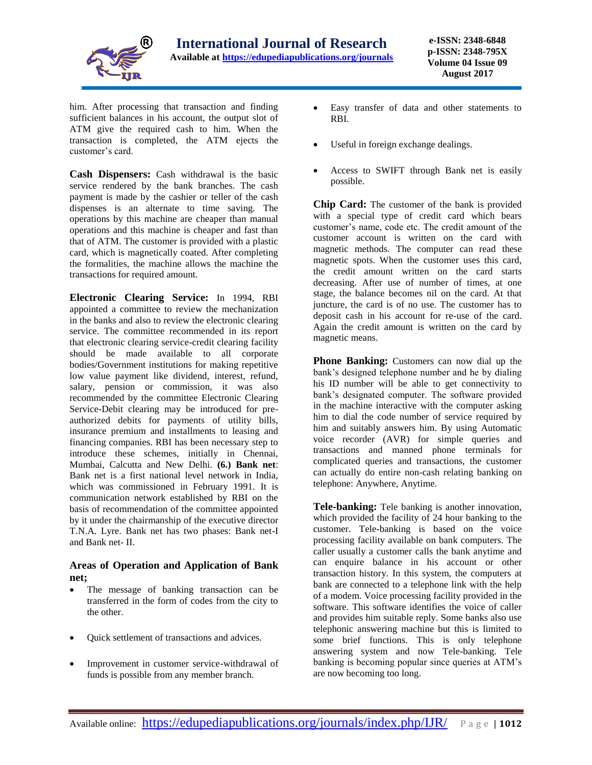

him. After processing that transaction and finding sufficient balances in his account, the output slot of ATM give the required cash to him. When the transaction is completed, the ATM ejects the customer's card.

**Cash Dispensers:** Cash withdrawal is the basic service rendered by the bank branches. The cash payment is made by the cashier or teller of the cash dispenses is an alternate to time saving. The operations by this machine are cheaper than manual operations and this machine is cheaper and fast than that of ATM. The customer is provided with a plastic card, which is magnetically coated. After completing the formalities, the machine allows the machine the transactions for required amount.

**Electronic Clearing Service:** In 1994, RBI appointed a committee to review the mechanization in the banks and also to review the electronic clearing service. The committee recommended in its report that electronic clearing service-credit clearing facility should be made available to all corporate bodies/Government institutions for making repetitive low value payment like dividend, interest, refund, salary, pension or commission, it was also recommended by the committee Electronic Clearing Service-Debit clearing may be introduced for preauthorized debits for payments of utility bills, insurance premium and installments to leasing and financing companies. RBI has been necessary step to introduce these schemes, initially in Chennai, Mumbai, Calcutta and New Delhi. **(6.) Bank net**: Bank net is a first national level network in India, which was commissioned in February 1991. It is communication network established by RBI on the basis of recommendation of the committee appointed by it under the chairmanship of the executive director T.N.A. Lyre. Bank net has two phases: Bank net-I and Bank net- II.

#### **Areas of Operation and Application of Bank net;**

- The message of banking transaction can be transferred in the form of codes from the city to the other.
- Quick settlement of transactions and advices.
- Improvement in customer service-withdrawal of funds is possible from any member branch.
- Easy transfer of data and other statements to RBI.
- Useful in foreign exchange dealings.
- Access to SWIFT through Bank net is easily possible.

**Chip Card:** The customer of the bank is provided with a special type of credit card which bears customer's name, code etc. The credit amount of the customer account is written on the card with magnetic methods. The computer can read these magnetic spots. When the customer uses this card, the credit amount written on the card starts decreasing. After use of number of times, at one stage, the balance becomes nil on the card. At that juncture, the card is of no use. The customer has to deposit cash in his account for re-use of the card. Again the credit amount is written on the card by magnetic means.

**Phone Banking:** Customers can now dial up the bank's designed telephone number and he by dialing his ID number will be able to get connectivity to bank's designated computer. The software provided in the machine interactive with the computer asking him to dial the code number of service required by him and suitably answers him. By using Automatic voice recorder (AVR) for simple queries and transactions and manned phone terminals for complicated queries and transactions, the customer can actually do entire non-cash relating banking on telephone: Anywhere, Anytime.

**Tele-banking:** Tele banking is another innovation, which provided the facility of 24 hour banking to the customer. Tele-banking is based on the voice processing facility available on bank computers. The caller usually a customer calls the bank anytime and can enquire balance in his account or other transaction history. In this system, the computers at bank are connected to a telephone link with the help of a modem. Voice processing facility provided in the software. This software identifies the voice of caller and provides him suitable reply. Some banks also use telephonic answering machine but this is limited to some brief functions. This is only telephone answering system and now Tele-banking. Tele banking is becoming popular since queries at ATM's are now becoming too long.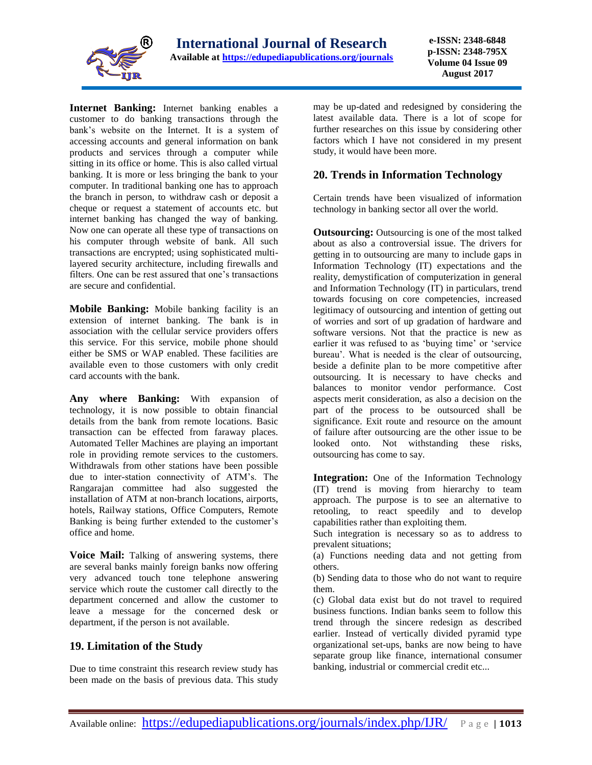

**Internet Banking:** Internet banking enables a customer to do banking transactions through the bank's website on the Internet. It is a system of accessing accounts and general information on bank products and services through a computer while sitting in its office or home. This is also called virtual banking. It is more or less bringing the bank to your computer. In traditional banking one has to approach the branch in person, to withdraw cash or deposit a cheque or request a statement of accounts etc. but internet banking has changed the way of banking. Now one can operate all these type of transactions on his computer through website of bank. All such transactions are encrypted; using sophisticated multilayered security architecture, including firewalls and filters. One can be rest assured that one's transactions are secure and confidential.

**Mobile Banking:** Mobile banking facility is an extension of internet banking. The bank is in association with the cellular service providers offers this service. For this service, mobile phone should either be SMS or WAP enabled. These facilities are available even to those customers with only credit card accounts with the bank.

**Any where Banking:** With expansion of technology, it is now possible to obtain financial details from the bank from remote locations. Basic transaction can be effected from faraway places. Automated Teller Machines are playing an important role in providing remote services to the customers. Withdrawals from other stations have been possible due to inter-station connectivity of ATM's. The Rangarajan committee had also suggested the installation of ATM at non-branch locations, airports, hotels, Railway stations, Office Computers, Remote Banking is being further extended to the customer's office and home.

**Voice Mail:** Talking of answering systems, there are several banks mainly foreign banks now offering very advanced touch tone telephone answering service which route the customer call directly to the department concerned and allow the customer to leave a message for the concerned desk or department, if the person is not available.

### **19. Limitation of the Study**

Due to time constraint this research review study has been made on the basis of previous data. This study may be up-dated and redesigned by considering the latest available data. There is a lot of scope for further researches on this issue by considering other factors which I have not considered in my present study, it would have been more.

### **20. Trends in Information Technology**

Certain trends have been visualized of information technology in banking sector all over the world.

**Outsourcing:** Outsourcing is one of the most talked about as also a controversial issue. The drivers for getting in to outsourcing are many to include gaps in Information Technology (IT) expectations and the reality, demystification of computerization in general and Information Technology (IT) in particulars, trend towards focusing on core competencies, increased legitimacy of outsourcing and intention of getting out of worries and sort of up gradation of hardware and software versions. Not that the practice is new as earlier it was refused to as 'buying time' or 'service bureau'. What is needed is the clear of outsourcing, beside a definite plan to be more competitive after outsourcing. It is necessary to have checks and balances to monitor vendor performance. Cost aspects merit consideration, as also a decision on the part of the process to be outsourced shall be significance. Exit route and resource on the amount of failure after outsourcing are the other issue to be looked onto. Not withstanding these risks, outsourcing has come to say.

**Integration:** One of the Information Technology (IT) trend is moving from hierarchy to team approach. The purpose is to see an alternative to retooling, to react speedily and to develop capabilities rather than exploiting them.

Such integration is necessary so as to address to prevalent situations;

(a) Functions needing data and not getting from others.

(b) Sending data to those who do not want to require them.

(c) Global data exist but do not travel to required business functions. Indian banks seem to follow this trend through the sincere redesign as described earlier. Instead of vertically divided pyramid type organizational set-ups, banks are now being to have separate group like finance, international consumer banking, industrial or commercial credit etc...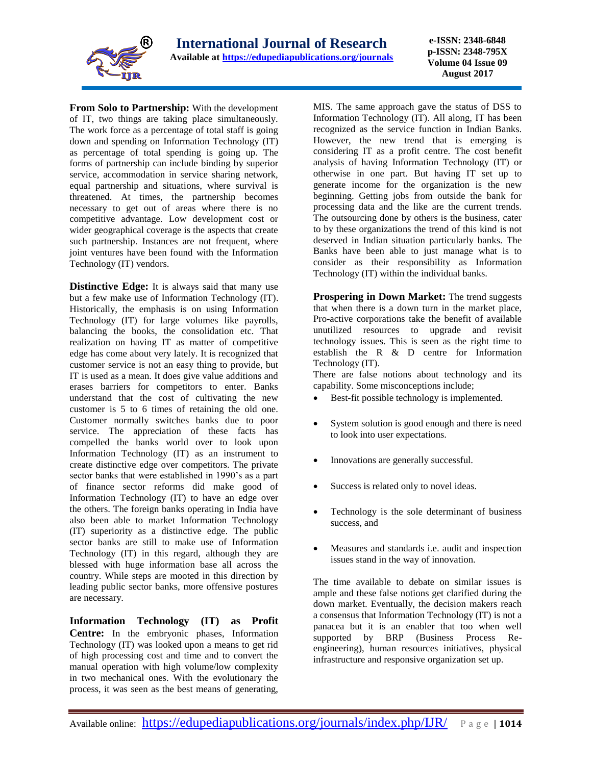

**From Solo to Partnership:** With the development of IT, two things are taking place simultaneously. The work force as a percentage of total staff is going down and spending on Information Technology (IT) as percentage of total spending is going up. The forms of partnership can include binding by superior service, accommodation in service sharing network, equal partnership and situations, where survival is threatened. At times, the partnership becomes necessary to get out of areas where there is no competitive advantage. Low development cost or wider geographical coverage is the aspects that create such partnership. Instances are not frequent, where joint ventures have been found with the Information Technology (IT) vendors.

**Distinctive Edge:** It is always said that many use but a few make use of Information Technology (IT). Historically, the emphasis is on using Information Technology (IT) for large volumes like payrolls, balancing the books, the consolidation etc. That realization on having IT as matter of competitive edge has come about very lately. It is recognized that customer service is not an easy thing to provide, but IT is used as a mean. It does give value additions and erases barriers for competitors to enter. Banks understand that the cost of cultivating the new customer is 5 to 6 times of retaining the old one. Customer normally switches banks due to poor service. The appreciation of these facts has compelled the banks world over to look upon Information Technology (IT) as an instrument to create distinctive edge over competitors. The private sector banks that were established in 1990's as a part of finance sector reforms did make good of Information Technology (IT) to have an edge over the others. The foreign banks operating in India have also been able to market Information Technology (IT) superiority as a distinctive edge. The public sector banks are still to make use of Information Technology (IT) in this regard, although they are blessed with huge information base all across the country. While steps are mooted in this direction by leading public sector banks, more offensive postures are necessary.

**Information Technology (IT) as Profit Centre:** In the embryonic phases, Information Technology (IT) was looked upon a means to get rid of high processing cost and time and to convert the manual operation with high volume/low complexity in two mechanical ones. With the evolutionary the process, it was seen as the best means of generating,

MIS. The same approach gave the status of DSS to Information Technology (IT). All along, IT has been recognized as the service function in Indian Banks. However, the new trend that is emerging is considering IT as a profit centre. The cost benefit analysis of having Information Technology (IT) or otherwise in one part. But having IT set up to generate income for the organization is the new beginning. Getting jobs from outside the bank for processing data and the like are the current trends. The outsourcing done by others is the business, cater to by these organizations the trend of this kind is not deserved in Indian situation particularly banks. The Banks have been able to just manage what is to consider as their responsibility as Information Technology (IT) within the individual banks.

**Prospering in Down Market:** The trend suggests that when there is a down turn in the market place, Pro-active corporations take the benefit of available unutilized resources to upgrade and revisit technology issues. This is seen as the right time to establish the R & D centre for Information Technology (IT).

There are false notions about technology and its capability. Some misconceptions include;

- Best-fit possible technology is implemented.
- System solution is good enough and there is need to look into user expectations.
- Innovations are generally successful.
- Success is related only to novel ideas.
- Technology is the sole determinant of business success, and
- Measures and standards i.e. audit and inspection issues stand in the way of innovation.

The time available to debate on similar issues is ample and these false notions get clarified during the down market. Eventually, the decision makers reach a consensus that Information Technology (IT) is not a panacea but it is an enabler that too when well supported by BRP (Business Process Reengineering), human resources initiatives, physical infrastructure and responsive organization set up.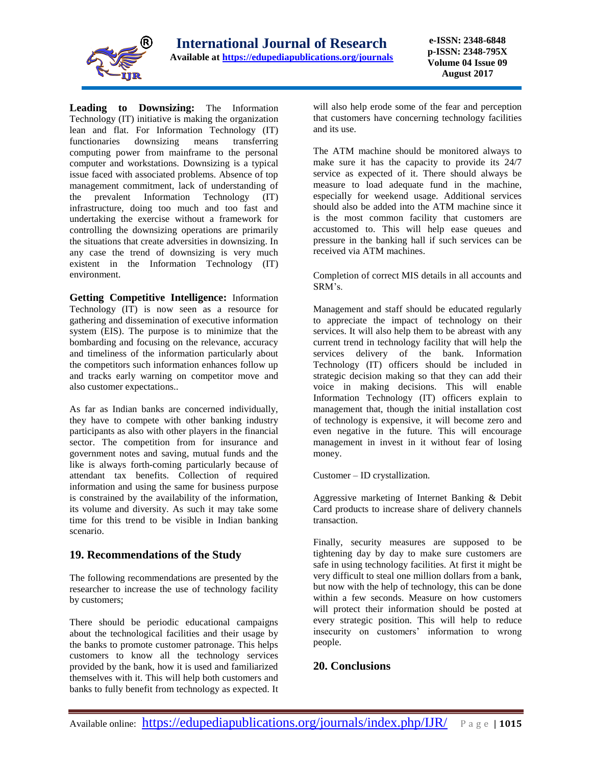

**Leading to Downsizing:** The Information Technology (IT) initiative is making the organization lean and flat. For Information Technology (IT) functionaries downsizing means transferring computing power from mainframe to the personal computer and workstations. Downsizing is a typical issue faced with associated problems. Absence of top management commitment, lack of understanding of the prevalent Information Technology (IT) infrastructure, doing too much and too fast and undertaking the exercise without a framework for controlling the downsizing operations are primarily the situations that create adversities in downsizing. In any case the trend of downsizing is very much existent in the Information Technology (IT) environment.

**Getting Competitive Intelligence:** Information Technology (IT) is now seen as a resource for gathering and dissemination of executive information system (EIS). The purpose is to minimize that the bombarding and focusing on the relevance, accuracy and timeliness of the information particularly about the competitors such information enhances follow up and tracks early warning on competitor move and also customer expectations..

As far as Indian banks are concerned individually, they have to compete with other banking industry participants as also with other players in the financial sector. The competition from for insurance and government notes and saving, mutual funds and the like is always forth-coming particularly because of attendant tax benefits. Collection of required information and using the same for business purpose is constrained by the availability of the information, its volume and diversity. As such it may take some time for this trend to be visible in Indian banking scenario.

#### **19. Recommendations of the Study**

The following recommendations are presented by the researcher to increase the use of technology facility by customers;

There should be periodic educational campaigns about the technological facilities and their usage by the banks to promote customer patronage. This helps customers to know all the technology services provided by the bank, how it is used and familiarized themselves with it. This will help both customers and banks to fully benefit from technology as expected. It

will also help erode some of the fear and perception that customers have concerning technology facilities and its use.

The ATM machine should be monitored always to make sure it has the capacity to provide its 24/7 service as expected of it. There should always be measure to load adequate fund in the machine, especially for weekend usage. Additional services should also be added into the ATM machine since it is the most common facility that customers are accustomed to. This will help ease queues and pressure in the banking hall if such services can be received via ATM machines.

Completion of correct MIS details in all accounts and SRM's.

Management and staff should be educated regularly to appreciate the impact of technology on their services. It will also help them to be abreast with any current trend in technology facility that will help the services delivery of the bank. Information Technology (IT) officers should be included in strategic decision making so that they can add their voice in making decisions. This will enable Information Technology (IT) officers explain to management that, though the initial installation cost of technology is expensive, it will become zero and even negative in the future. This will encourage management in invest in it without fear of losing money.

Customer – ID crystallization.

Aggressive marketing of Internet Banking & Debit Card products to increase share of delivery channels transaction.

Finally, security measures are supposed to be tightening day by day to make sure customers are safe in using technology facilities. At first it might be very difficult to steal one million dollars from a bank, but now with the help of technology, this can be done within a few seconds. Measure on how customers will protect their information should be posted at every strategic position. This will help to reduce insecurity on customers' information to wrong people.

### **20. Conclusions**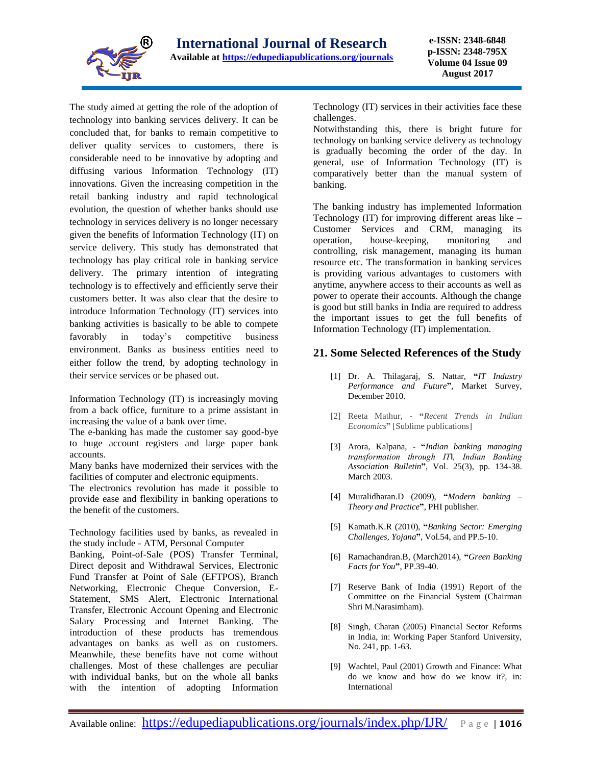

The study aimed at getting the role of the adoption of technology into banking services delivery. It can be concluded that, for banks to remain competitive to deliver quality services to customers, there is considerable need to be innovative by adopting and diffusing various Information Technology (IT) innovations. Given the increasing competition in the retail banking industry and rapid technological evolution, the question of whether banks should use technology in services delivery is no longer necessary given the benefits of Information Technology (IT) on service delivery. This study has demonstrated that technology has play critical role in banking service delivery. The primary intention of integrating technology is to effectively and efficiently serve their customers better. It was also clear that the desire to introduce Information Technology (IT) services into banking activities is basically to be able to compete favorably in today's competitive business environment. Banks as business entities need to either follow the trend, by adopting technology in their service services or be phased out.

Information Technology (IT) is increasingly moving from a back office, furniture to a prime assistant in increasing the value of a bank over time.

The e-banking has made the customer say good-bye to huge account registers and large paper bank accounts.

Many banks have modernized their services with the facilities of computer and electronic equipments.

The electronics revolution has made it possible to provide ease and flexibility in banking operations to the benefit of the customers.

Technology facilities used by banks, as revealed in the study include - ATM, Personal Computer

Banking, Point-of-Sale (POS) Transfer Terminal, Direct deposit and Withdrawal Services, Electronic Fund Transfer at Point of Sale (EFTPOS), Branch Networking, Electronic Cheque Conversion, E-Statement, SMS Alert, Electronic International Transfer, Electronic Account Opening and Electronic Salary Processing and Internet Banking. The introduction of these products has tremendous advantages on banks as well as on customers. Meanwhile, these benefits have not come without challenges. Most of these challenges are peculiar with individual banks, but on the whole all banks with the intention of adopting Information

Technology (IT) services in their activities face these challenges.

Notwithstanding this, there is bright future for technology on banking service delivery as technology is gradually becoming the order of the day. In general, use of Information Technology (IT) is comparatively better than the manual system of banking.

The banking industry has implemented Information Technology (IT) for improving different areas like – Customer Services and CRM, managing its operation, house-keeping, monitoring and controlling, risk management, managing its human resource etc. The transformation in banking services is providing various advantages to customers with anytime, anywhere access to their accounts as well as power to operate their accounts. Although the change is good but still banks in India are required to address the important issues to get the full benefits of Information Technology (IT) implementation.

#### **21. Some Selected References of the Study**

- [1] Dr. A. Thilagaraj, S. Nattar, **"***IT Industry Performance and Future***"**, Market Survey, December 2010.
- [2] Reeta Mathur, **"***Recent Trends in Indian Economics***"** [Sublime publications]
- [3] Arora, Kalpana, **"***Indian banking managing transformation through IT‖, Indian Banking Association Bulletin***"**, Vol. 25(3), pp. 134-38. March 2003.
- [4] Muralidharan.D (2009), **"***Modern banking – Theory and Practice***"**, PHI publisher.
- [5] Kamath.K.R (2010), **"***Banking Sector: Emerging Challenges, Yojana***"**, Vol.54, and PP.5-10.
- [6] Ramachandran.B, (March2014), **"***Green Banking Facts for You***"**, PP.39-40.
- [7] Reserve Bank of India (1991) Report of the Committee on the Financial System (Chairman Shri M.Narasimham).
- [8] Singh, Charan (2005) Financial Sector Reforms in India, in: Working Paper Stanford University, No. 241, pp. 1-63.
- [9] Wachtel, Paul (2001) Growth and Finance: What do we know and how do we know it?, in: International